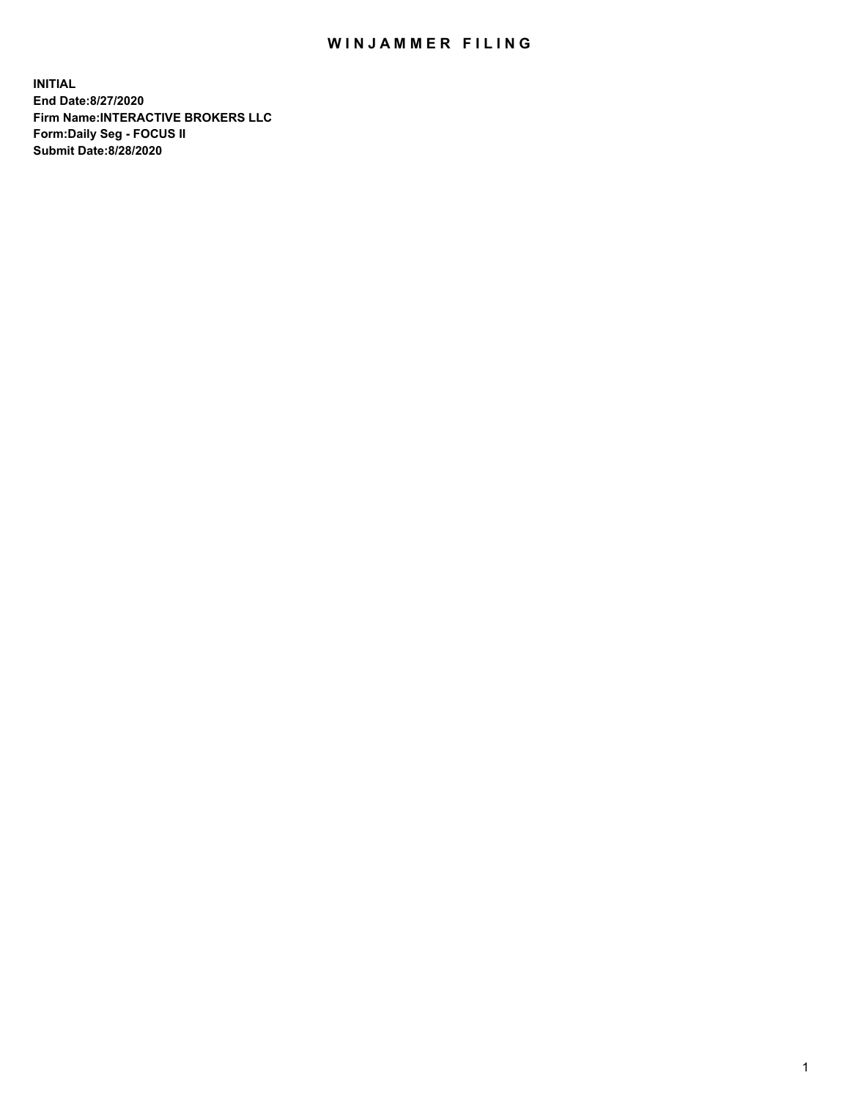## WIN JAMMER FILING

**INITIAL End Date:8/27/2020 Firm Name:INTERACTIVE BROKERS LLC Form:Daily Seg - FOCUS II Submit Date:8/28/2020**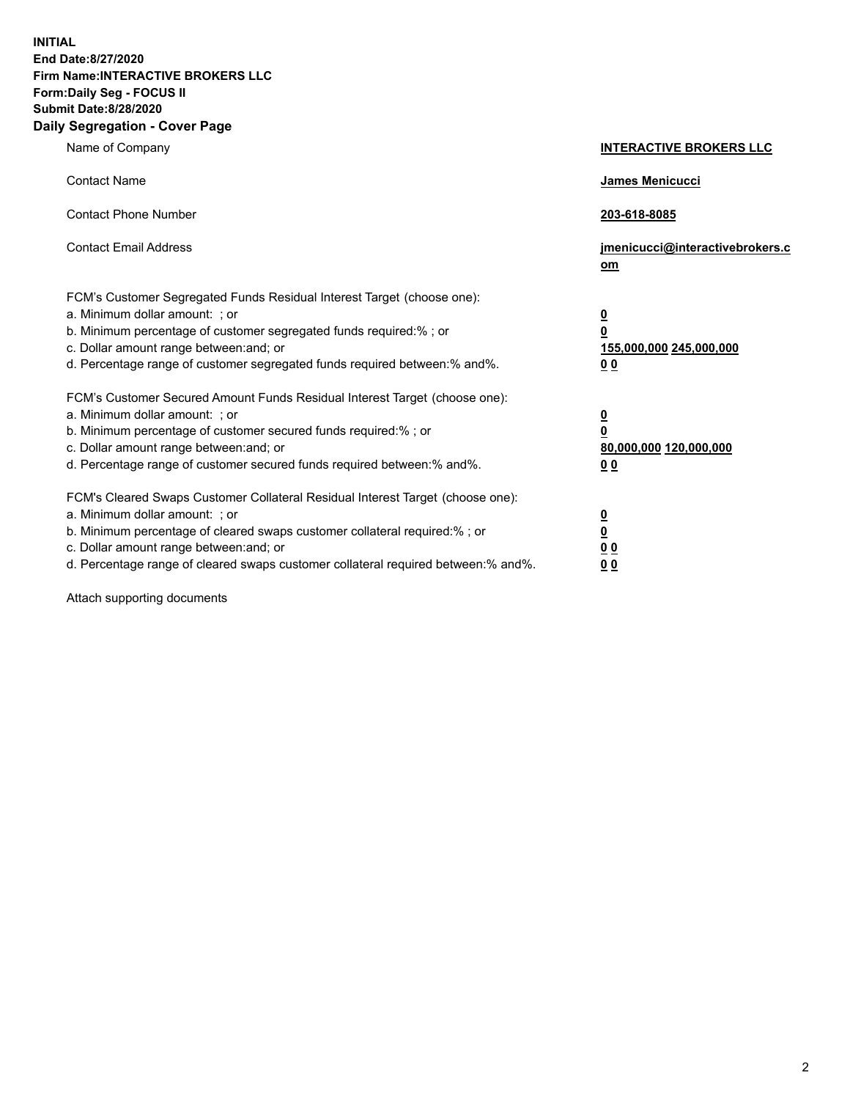**INITIAL End Date:8/27/2020 Firm Name:INTERACTIVE BROKERS LLC Form:Daily Seg - FOCUS II Submit Date:8/28/2020 Daily Segregation - Cover Page**

| Name of Company                                                                                                                                                                                                                                                                                                                | <b>INTERACTIVE BROKERS LLC</b>                                                   |
|--------------------------------------------------------------------------------------------------------------------------------------------------------------------------------------------------------------------------------------------------------------------------------------------------------------------------------|----------------------------------------------------------------------------------|
| <b>Contact Name</b>                                                                                                                                                                                                                                                                                                            | James Menicucci                                                                  |
| <b>Contact Phone Number</b>                                                                                                                                                                                                                                                                                                    | 203-618-8085                                                                     |
| <b>Contact Email Address</b>                                                                                                                                                                                                                                                                                                   | jmenicucci@interactivebrokers.c<br>om                                            |
| FCM's Customer Segregated Funds Residual Interest Target (choose one):<br>a. Minimum dollar amount: ; or<br>b. Minimum percentage of customer segregated funds required:% ; or<br>c. Dollar amount range between: and; or<br>d. Percentage range of customer segregated funds required between:% and%.                         | <u>0</u><br>$\overline{\mathbf{0}}$<br>155,000,000 245,000,000<br>0 <sub>0</sub> |
| FCM's Customer Secured Amount Funds Residual Interest Target (choose one):<br>a. Minimum dollar amount: ; or<br>b. Minimum percentage of customer secured funds required:% ; or<br>c. Dollar amount range between: and; or<br>d. Percentage range of customer secured funds required between:% and%.                           | <u>0</u><br>$\overline{\mathbf{0}}$<br>80,000,000 120,000,000<br>0 <sub>0</sub>  |
| FCM's Cleared Swaps Customer Collateral Residual Interest Target (choose one):<br>a. Minimum dollar amount: ; or<br>b. Minimum percentage of cleared swaps customer collateral required:% ; or<br>c. Dollar amount range between: and; or<br>d. Percentage range of cleared swaps customer collateral required between:% and%. | <u>0</u><br>$\underline{\mathbf{0}}$<br>0 <sub>0</sub><br>0 <sub>0</sub>         |

Attach supporting documents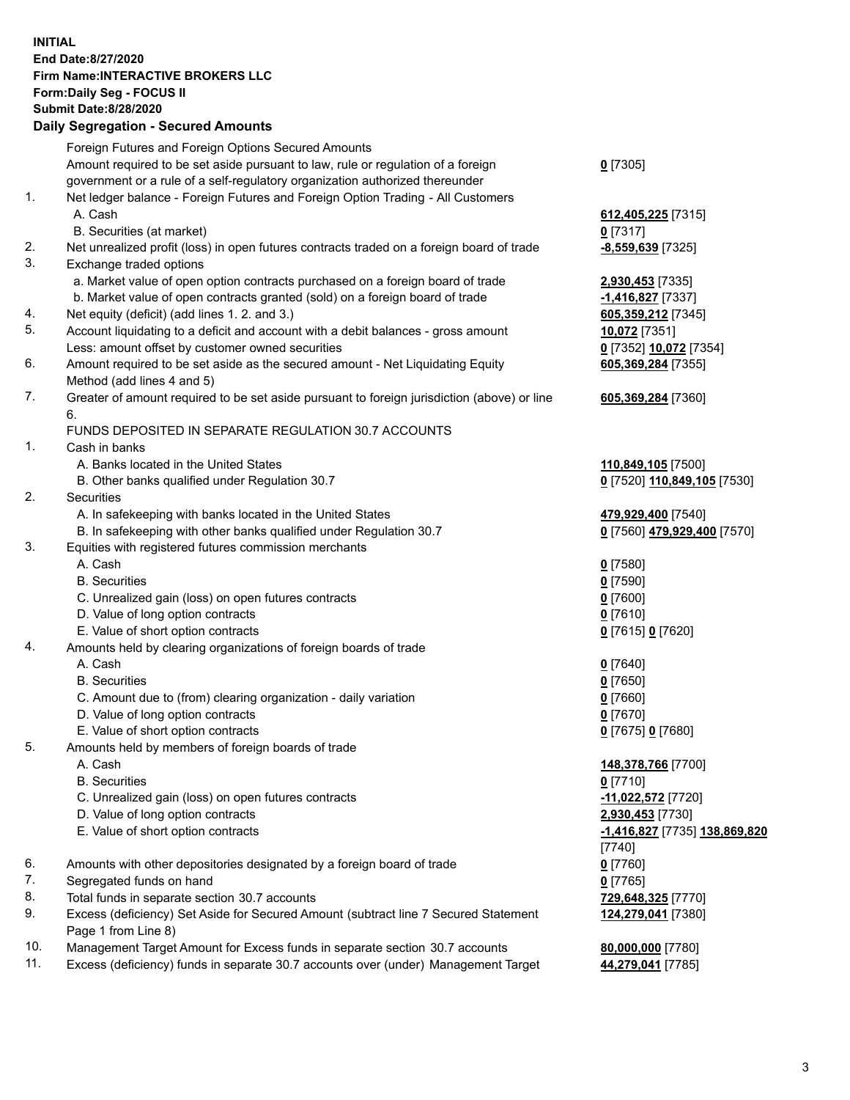**INITIAL End Date:8/27/2020 Firm Name:INTERACTIVE BROKERS LLC Form:Daily Seg - FOCUS II Submit Date:8/28/2020 Daily Segregation - Secured Amounts**

|                | <u> Bally Ocyfegation - Occared Alliounts</u>                                                              |                               |
|----------------|------------------------------------------------------------------------------------------------------------|-------------------------------|
|                | Foreign Futures and Foreign Options Secured Amounts                                                        |                               |
|                | Amount required to be set aside pursuant to law, rule or regulation of a foreign                           | $0$ [7305]                    |
|                | government or a rule of a self-regulatory organization authorized thereunder                               |                               |
| $\mathbf{1}$ . | Net ledger balance - Foreign Futures and Foreign Option Trading - All Customers                            |                               |
|                | A. Cash                                                                                                    | 612,405,225 [7315]            |
|                | B. Securities (at market)                                                                                  | $0$ [7317]                    |
| 2.             | Net unrealized profit (loss) in open futures contracts traded on a foreign board of trade                  | -8,559,639 [7325]             |
| 3.             | Exchange traded options                                                                                    |                               |
|                | a. Market value of open option contracts purchased on a foreign board of trade                             | 2,930,453 [7335]              |
|                | b. Market value of open contracts granted (sold) on a foreign board of trade                               | -1,416,827 [7337]             |
| 4.             | Net equity (deficit) (add lines 1. 2. and 3.)                                                              | 605,359,212 [7345]            |
| 5.             | Account liquidating to a deficit and account with a debit balances - gross amount                          | 10,072 [7351]                 |
|                | Less: amount offset by customer owned securities                                                           | 0 [7352] 10,072 [7354]        |
| 6.             | Amount required to be set aside as the secured amount - Net Liquidating Equity                             | 605,369,284 [7355]            |
|                | Method (add lines 4 and 5)                                                                                 |                               |
| 7.             | Greater of amount required to be set aside pursuant to foreign jurisdiction (above) or line                | 605,369,284 [7360]            |
|                | 6.                                                                                                         |                               |
|                | FUNDS DEPOSITED IN SEPARATE REGULATION 30.7 ACCOUNTS                                                       |                               |
| 1.             | Cash in banks                                                                                              |                               |
|                | A. Banks located in the United States                                                                      | 110,849,105 [7500]            |
|                | B. Other banks qualified under Regulation 30.7                                                             | 0 [7520] 110,849,105 [7530]   |
| 2.             | Securities                                                                                                 |                               |
|                | A. In safekeeping with banks located in the United States                                                  | 479,929,400 [7540]            |
|                | B. In safekeeping with other banks qualified under Regulation 30.7                                         | 0 [7560] 479,929,400 [7570]   |
| 3.             | Equities with registered futures commission merchants                                                      |                               |
|                | A. Cash                                                                                                    | $0$ [7580]                    |
|                | <b>B.</b> Securities                                                                                       | $0$ [7590]                    |
|                | C. Unrealized gain (loss) on open futures contracts                                                        | $0$ [7600]                    |
|                | D. Value of long option contracts                                                                          | $0$ [7610]                    |
|                | E. Value of short option contracts                                                                         | 0 [7615] 0 [7620]             |
| 4.             | Amounts held by clearing organizations of foreign boards of trade                                          |                               |
|                | A. Cash                                                                                                    | $0$ [7640]                    |
|                | <b>B.</b> Securities                                                                                       | $0$ [7650]                    |
|                | C. Amount due to (from) clearing organization - daily variation                                            | $0$ [7660]                    |
|                | D. Value of long option contracts                                                                          | $0$ [7670]                    |
|                | E. Value of short option contracts                                                                         | 0 [7675] 0 [7680]             |
| 5.             | Amounts held by members of foreign boards of trade                                                         |                               |
|                | A. Cash                                                                                                    | 148,378,766 [7700]            |
|                | <b>B.</b> Securities                                                                                       | $0$ [7710]                    |
|                | C. Unrealized gain (loss) on open futures contracts                                                        | -11,022,572 [7720]            |
|                | D. Value of long option contracts                                                                          | 2,930,453 [7730]              |
|                | E. Value of short option contracts                                                                         | -1,416,827 [7735] 138,869,820 |
|                |                                                                                                            |                               |
| 6.             |                                                                                                            | [7740]                        |
| 7.             | Amounts with other depositories designated by a foreign board of trade                                     | $0$ [7760]                    |
| 8.             | Segregated funds on hand<br>Total funds in separate section 30.7 accounts                                  | $0$ [7765]                    |
| 9.             |                                                                                                            | 729,648,325 [7770]            |
|                | Excess (deficiency) Set Aside for Secured Amount (subtract line 7 Secured Statement<br>Page 1 from Line 8) | 124,279,041 [7380]            |
| 10.            | Management Target Amount for Excess funds in separate section 30.7 accounts                                | 80,000,000 [7780]             |
| 11.            | Excess (deficiency) funds in separate 30.7 accounts over (under) Management Target                         | 44,279,041 [7785]             |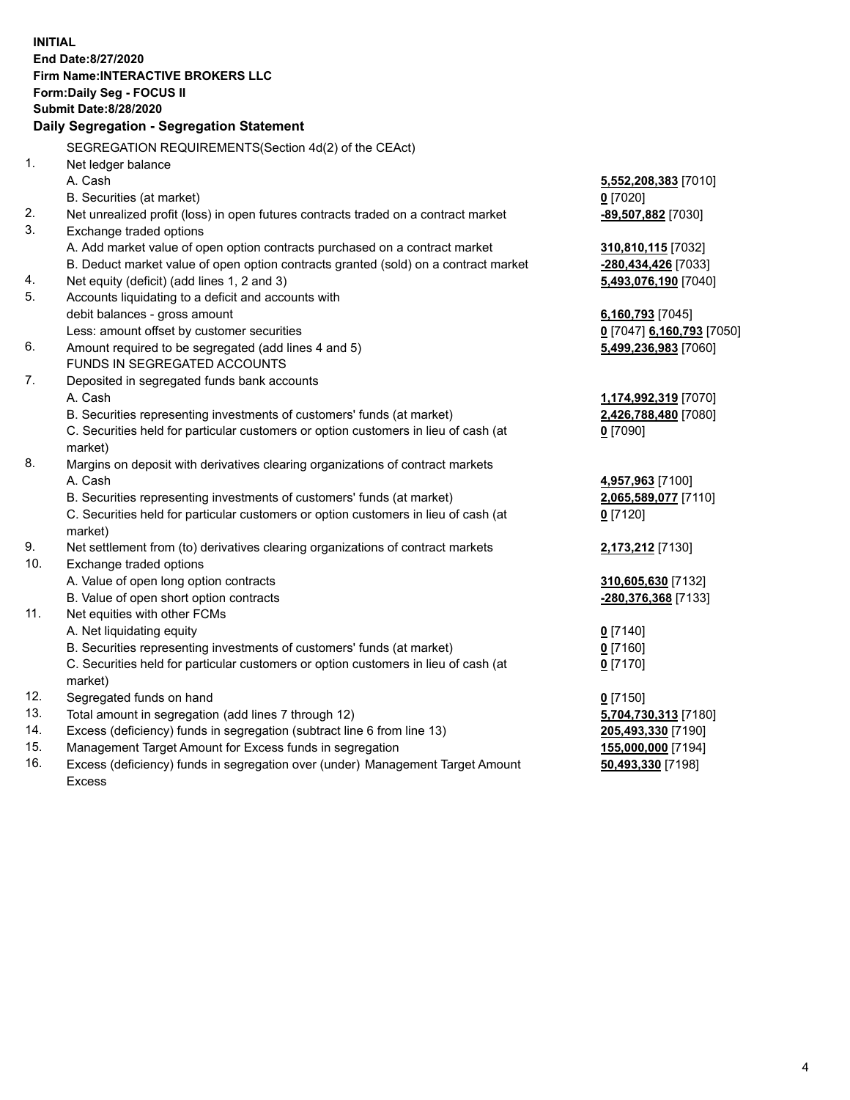**INITIAL End Date:8/27/2020 Firm Name:INTERACTIVE BROKERS LLC Form:Daily Seg - FOCUS II Submit Date:8/28/2020 Daily Segregation - Segregation Statement** SEGREGATION REQUIREMENTS(Section 4d(2) of the CEAct) 1. Net ledger balance A. Cash **5,552,208,383** [7010] B. Securities (at market) **0** [7020] 2. Net unrealized profit (loss) in open futures contracts traded on a contract market **-89,507,882** [7030] 3. Exchange traded options A. Add market value of open option contracts purchased on a contract market **310,810,115** [7032] B. Deduct market value of open option contracts granted (sold) on a contract market **-280,434,426** [7033] 4. Net equity (deficit) (add lines 1, 2 and 3) **5,493,076,190** [7040] 5. Accounts liquidating to a deficit and accounts with debit balances - gross amount **6,160,793** [7045] Less: amount offset by customer securities **0** [7047] **6,160,793** [7050] 6. Amount required to be segregated (add lines 4 and 5) **5,499,236,983** [7060] FUNDS IN SEGREGATED ACCOUNTS 7. Deposited in segregated funds bank accounts A. Cash **1,174,992,319** [7070] B. Securities representing investments of customers' funds (at market) **2,426,788,480** [7080] C. Securities held for particular customers or option customers in lieu of cash (at market) **0** [7090] 8. Margins on deposit with derivatives clearing organizations of contract markets A. Cash **4,957,963** [7100] B. Securities representing investments of customers' funds (at market) **2,065,589,077** [7110] C. Securities held for particular customers or option customers in lieu of cash (at market) **0** [7120] 9. Net settlement from (to) derivatives clearing organizations of contract markets **2,173,212** [7130] 10. Exchange traded options A. Value of open long option contracts **310,605,630** [7132] B. Value of open short option contracts **-280,376,368** [7133] 11. Net equities with other FCMs A. Net liquidating equity **0** [7140] B. Securities representing investments of customers' funds (at market) **0** [7160] C. Securities held for particular customers or option customers in lieu of cash (at market) **0** [7170] 12. Segregated funds on hand **0** [7150] 13. Total amount in segregation (add lines 7 through 12) **5,704,730,313** [7180] 14. Excess (deficiency) funds in segregation (subtract line 6 from line 13) **205,493,330** [7190] 15. Management Target Amount for Excess funds in segregation **155,000,000** [7194]

16. Excess (deficiency) funds in segregation over (under) Management Target Amount Excess

**50,493,330** [7198]